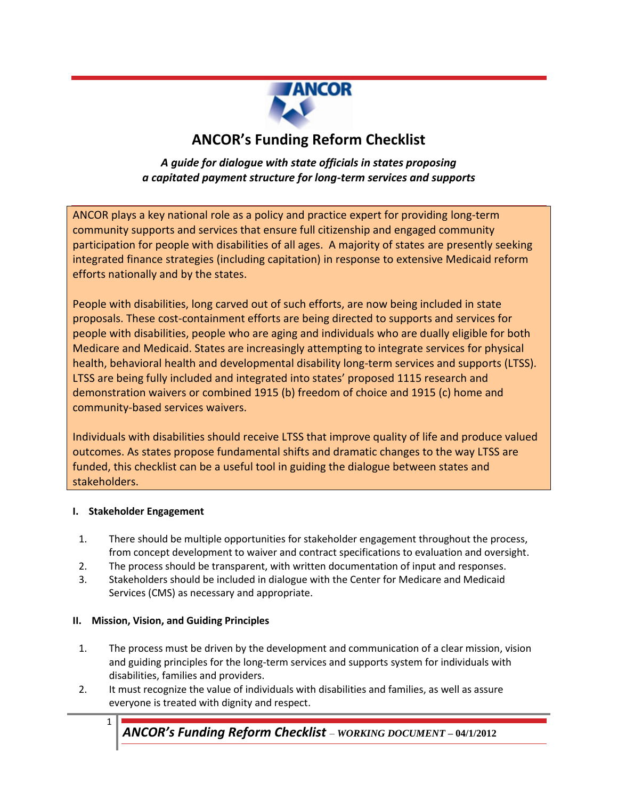

# **ANCOR's Funding Reform Checklist**

## *A guide for dialogue with state officials in states proposing a capitated payment structure for long-term services and supports*

ANCOR plays a key national role as a policy and practice expert for providing long-term community supports and services that ensure full citizenship and engaged community participation for people with disabilities of all ages. A majority of states are presently seeking integrated finance strategies (including capitation) in response to extensive Medicaid reform efforts nationally and by the states.

People with disabilities, long carved out of such efforts, are now being included in state proposals. These cost-containment efforts are being directed to supports and services for people with disabilities, people who are aging and individuals who are dually eligible for both Medicare and Medicaid. States are increasingly attempting to integrate services for physical health, behavioral health and developmental disability long-term services and supports (LTSS). LTSS are being fully included and integrated into states' proposed 1115 research and demonstration waivers or combined 1915 (b) freedom of choice and 1915 (c) home and community-based services waivers.

Individuals with disabilities should receive LTSS that improve quality of life and produce valued outcomes. As states propose fundamental shifts and dramatic changes to the way LTSS are funded, this checklist can be a useful tool in guiding the dialogue between states and stakeholders.

#### **I. Stakeholder Engagement**

- 1. There should be multiple opportunities for stakeholder engagement throughout the process, from concept development to waiver and contract specifications to evaluation and oversight.
- 2. The process should be transparent, with written documentation of input and responses.
- 3. Stakeholders should be included in dialogue with the Center for Medicare and Medicaid Services (CMS) as necessary and appropriate.

## **II. Mission, Vision, and Guiding Principles**

- 1. The process must be driven by the development and communication of a clear mission, vision and guiding principles for the long-term services and supports system for individuals with disabilities, families and providers.
- 2. It must recognize the value of individuals with disabilities and families, as well as assure everyone is treated with dignity and respect.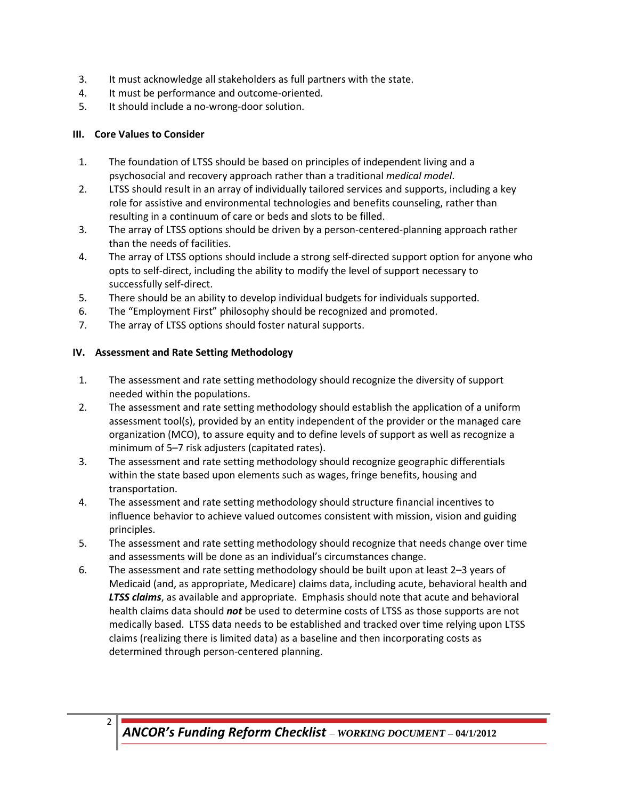- 3. It must acknowledge all stakeholders as full partners with the state.
- 4. It must be performance and outcome-oriented.
- 5. It should include a no-wrong-door solution.

#### **III. Core Values to Consider**

- 1. The foundation of LTSS should be based on principles of independent living and a psychosocial and recovery approach rather than a traditional *medical model*.
- 2. LTSS should result in an array of individually tailored services and supports, including a key role for assistive and environmental technologies and benefits counseling, rather than resulting in a continuum of care or beds and slots to be filled.
- 3. The array of LTSS options should be driven by a person-centered-planning approach rather than the needs of facilities.
- 4. The array of LTSS options should include a strong self-directed support option for anyone who opts to self-direct, including the ability to modify the level of support necessary to successfully self-direct.
- 5. There should be an ability to develop individual budgets for individuals supported.
- 6. The "Employment First" philosophy should be recognized and promoted.
- 7. The array of LTSS options should foster natural supports.

#### **IV. Assessment and Rate Setting Methodology**

- 1. The assessment and rate setting methodology should recognize the diversity of support needed within the populations.
- 2. The assessment and rate setting methodology should establish the application of a uniform assessment tool(s), provided by an entity independent of the provider or the managed care organization (MCO), to assure equity and to define levels of support as well as recognize a minimum of 5–7 risk adjusters (capitated rates).
- 3. The assessment and rate setting methodology should recognize geographic differentials within the state based upon elements such as wages, fringe benefits, housing and transportation.
- 4. The assessment and rate setting methodology should structure financial incentives to influence behavior to achieve valued outcomes consistent with mission, vision and guiding principles.
- 5. The assessment and rate setting methodology should recognize that needs change over time and assessments will be done as an individual's circumstances change.
- 6. The assessment and rate setting methodology should be built upon at least 2–3 years of Medicaid (and, as appropriate, Medicare) claims data, including acute, behavioral health and *LTSS claims*, as available and appropriate. Emphasis should note that acute and behavioral health claims data should *not* be used to determine costs of LTSS as those supports are not medically based. LTSS data needs to be established and tracked over time relying upon LTSS claims (realizing there is limited data) as a baseline and then incorporating costs as determined through person-centered planning.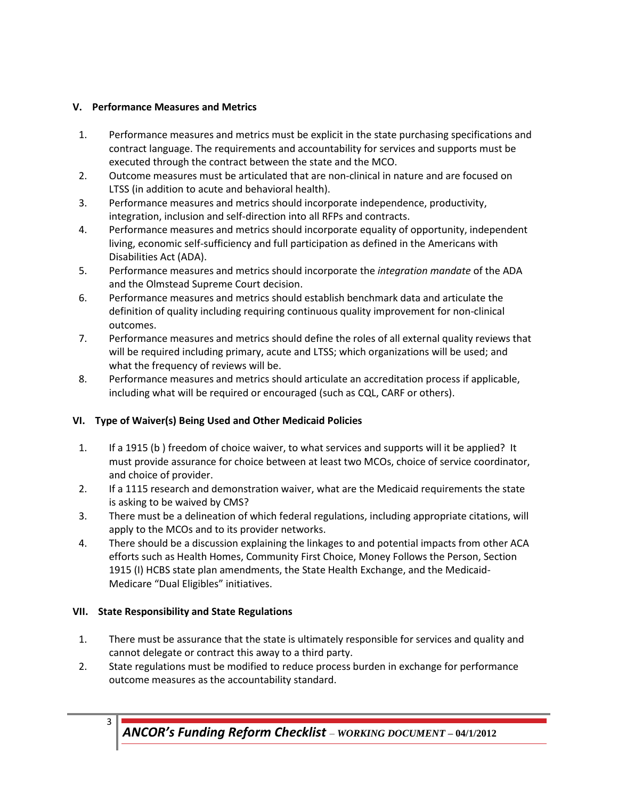#### **V. Performance Measures and Metrics**

- 1. Performance measures and metrics must be explicit in the state purchasing specifications and contract language. The requirements and accountability for services and supports must be executed through the contract between the state and the MCO.
- 2. Outcome measures must be articulated that are non-clinical in nature and are focused on LTSS (in addition to acute and behavioral health).
- 3. Performance measures and metrics should incorporate independence, productivity, integration, inclusion and self-direction into all RFPs and contracts.
- 4. Performance measures and metrics should incorporate equality of opportunity, independent living, economic self-sufficiency and full participation as defined in the Americans with Disabilities Act (ADA).
- 5. Performance measures and metrics should incorporate the *integration mandate* of the ADA and the Olmstead Supreme Court decision.
- 6. Performance measures and metrics should establish benchmark data and articulate the definition of quality including requiring continuous quality improvement for non-clinical outcomes.
- 7. Performance measures and metrics should define the roles of all external quality reviews that will be required including primary, acute and LTSS; which organizations will be used; and what the frequency of reviews will be.
- 8. Performance measures and metrics should articulate an accreditation process if applicable, including what will be required or encouraged (such as CQL, CARF or others).

## **VI. Type of Waiver(s) Being Used and Other Medicaid Policies**

- 1. If a 1915 (b ) freedom of choice waiver, to what services and supports will it be applied? It must provide assurance for choice between at least two MCOs, choice of service coordinator, and choice of provider.
- 2. If a 1115 research and demonstration waiver, what are the Medicaid requirements the state is asking to be waived by CMS?
- 3. There must be a delineation of which federal regulations, including appropriate citations, will apply to the MCOs and to its provider networks.
- 4. There should be a discussion explaining the linkages to and potential impacts from other ACA efforts such as Health Homes, Community First Choice, Money Follows the Person, Section 1915 (I) HCBS state plan amendments, the State Health Exchange, and the Medicaid-Medicare "Dual Eligibles" initiatives.

## **VII. State Responsibility and State Regulations**

- 1. There must be assurance that the state is ultimately responsible for services and quality and cannot delegate or contract this away to a third party.
- 2. State regulations must be modified to reduce process burden in exchange for performance outcome measures as the accountability standard.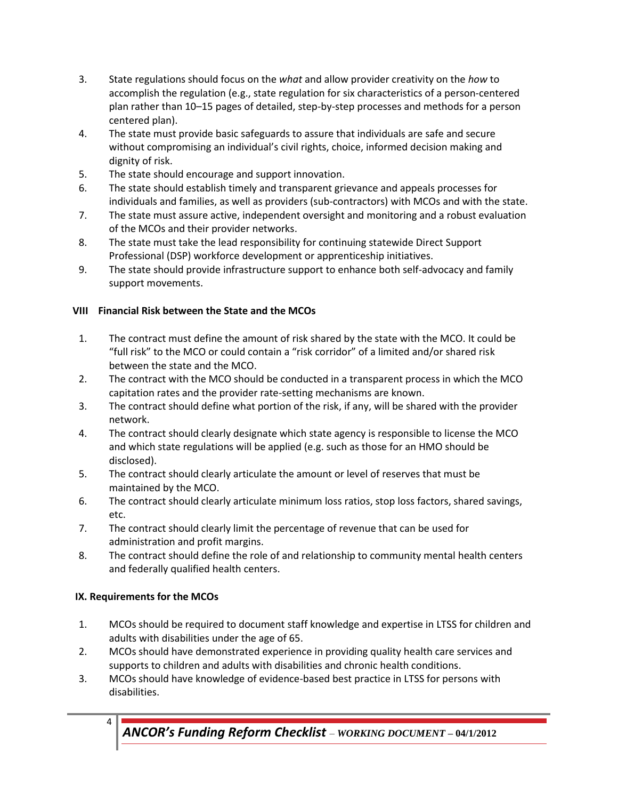- 3. State regulations should focus on the *what* and allow provider creativity on the *how* to accomplish the regulation (e.g., state regulation for six characteristics of a person-centered plan rather than 10–15 pages of detailed, step-by-step processes and methods for a person centered plan).
- 4. The state must provide basic safeguards to assure that individuals are safe and secure without compromising an individual's civil rights, choice, informed decision making and dignity of risk.
- 5. The state should encourage and support innovation.
- 6. The state should establish timely and transparent grievance and appeals processes for individuals and families, as well as providers (sub-contractors) with MCOs and with the state.
- 7. The state must assure active, independent oversight and monitoring and a robust evaluation of the MCOs and their provider networks.
- 8. The state must take the lead responsibility for continuing statewide Direct Support Professional (DSP) workforce development or apprenticeship initiatives.
- 9. The state should provide infrastructure support to enhance both self-advocacy and family support movements.

## **VIII Financial Risk between the State and the MCOs**

- 1. The contract must define the amount of risk shared by the state with the MCO. It could be "full risk" to the MCO or could contain a "risk corridor" of a limited and/or shared risk between the state and the MCO.
- 2. The contract with the MCO should be conducted in a transparent process in which the MCO capitation rates and the provider rate-setting mechanisms are known.
- 3. The contract should define what portion of the risk, if any, will be shared with the provider network.
- 4. The contract should clearly designate which state agency is responsible to license the MCO and which state regulations will be applied (e.g. such as those for an HMO should be disclosed).
- 5. The contract should clearly articulate the amount or level of reserves that must be maintained by the MCO.
- 6. The contract should clearly articulate minimum loss ratios, stop loss factors, shared savings, etc.
- 7. The contract should clearly limit the percentage of revenue that can be used for administration and profit margins.
- 8. The contract should define the role of and relationship to community mental health centers and federally qualified health centers.

## **IX. Requirements for the MCOs**

- 1. MCOs should be required to document staff knowledge and expertise in LTSS for children and adults with disabilities under the age of 65.
- 2. MCOs should have demonstrated experience in providing quality health care services and supports to children and adults with disabilities and chronic health conditions.
- 3. MCOs should have knowledge of evidence-based best practice in LTSS for persons with disabilities.